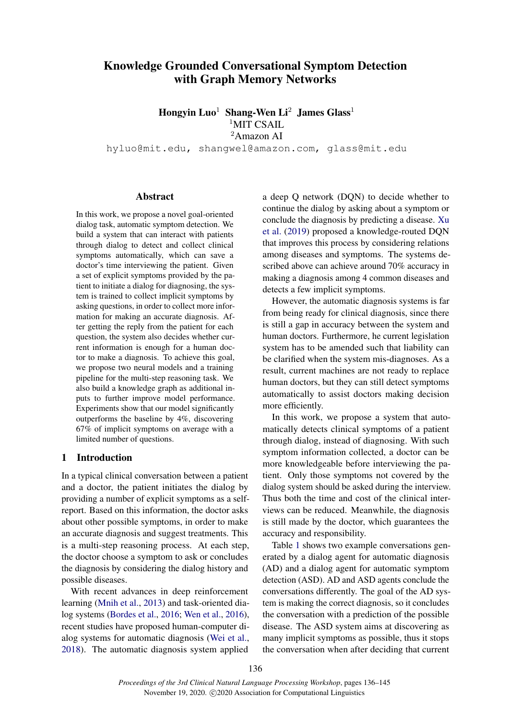# Knowledge Grounded Conversational Symptom Detection with Graph Memory Networks

Hongyin Luo<sup>1</sup> Shang-Wen Li<sup>2</sup> James Glass<sup>1</sup> <sup>1</sup>MIT CSAIL <sup>2</sup>Amazon AI

hyluo@mit.edu, shangwel@amazon.com, glass@mit.edu

#### Abstract

In this work, we propose a novel goal-oriented dialog task, automatic symptom detection. We build a system that can interact with patients through dialog to detect and collect clinical symptoms automatically, which can save a doctor's time interviewing the patient. Given a set of explicit symptoms provided by the patient to initiate a dialog for diagnosing, the system is trained to collect implicit symptoms by asking questions, in order to collect more information for making an accurate diagnosis. After getting the reply from the patient for each question, the system also decides whether current information is enough for a human doctor to make a diagnosis. To achieve this goal, we propose two neural models and a training pipeline for the multi-step reasoning task. We also build a knowledge graph as additional inputs to further improve model performance. Experiments show that our model significantly outperforms the baseline by 4%, discovering 67% of implicit symptoms on average with a limited number of questions.

# 1 Introduction

In a typical clinical conversation between a patient and a doctor, the patient initiates the dialog by providing a number of explicit symptoms as a selfreport. Based on this information, the doctor asks about other possible symptoms, in order to make an accurate diagnosis and suggest treatments. This is a multi-step reasoning process. At each step, the doctor choose a symptom to ask or concludes the diagnosis by considering the dialog history and possible diseases.

With recent advances in deep reinforcement learning [\(Mnih et al.,](#page-8-0) [2013\)](#page-8-0) and task-oriented dialog systems [\(Bordes et al.,](#page-8-1) [2016;](#page-8-1) [Wen et al.,](#page-8-2) [2016\)](#page-8-2), recent studies have proposed human-computer dialog systems for automatic diagnosis [\(Wei et al.,](#page-8-3) [2018\)](#page-8-3). The automatic diagnosis system applied

a deep Q network (DQN) to decide whether to continue the dialog by asking about a symptom or conclude the diagnosis by predicting a disease. [Xu](#page-9-0) [et al.](#page-9-0) [\(2019\)](#page-9-0) proposed a knowledge-routed DQN that improves this process by considering relations among diseases and symptoms. The systems described above can achieve around 70% accuracy in making a diagnosis among 4 common diseases and detects a few implicit symptoms.

However, the automatic diagnosis systems is far from being ready for clinical diagnosis, since there is still a gap in accuracy between the system and human doctors. Furthermore, he current legislation system has to be amended such that liability can be clarified when the system mis-diagnoses. As a result, current machines are not ready to replace human doctors, but they can still detect symptoms automatically to assist doctors making decision more efficiently.

In this work, we propose a system that automatically detects clinical symptoms of a patient through dialog, instead of diagnosing. With such symptom information collected, a doctor can be more knowledgeable before interviewing the patient. Only those symptoms not covered by the dialog system should be asked during the interview. Thus both the time and cost of the clinical interviews can be reduced. Meanwhile, the diagnosis is still made by the doctor, which guarantees the accuracy and responsibility.

Table [1](#page-1-0) shows two example conversations generated by a dialog agent for automatic diagnosis (AD) and a dialog agent for automatic symptom detection (ASD). AD and ASD agents conclude the conversations differently. The goal of the AD system is making the correct diagnosis, so it concludes the conversation with a prediction of the possible disease. The ASD system aims at discovering as many implicit symptoms as possible, thus it stops the conversation when after deciding that current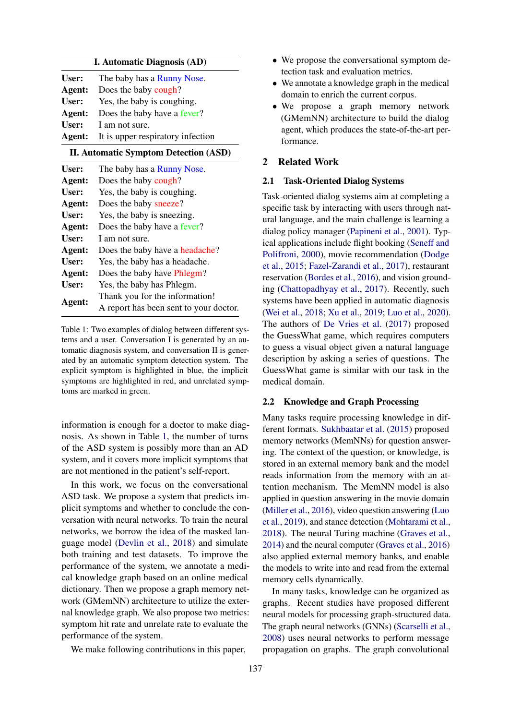## I. Automatic Diagnosis (AD)

<span id="page-1-0"></span>

| User:  | The baby has a Runny Nose.                      |
|--------|-------------------------------------------------|
| Agent: | Does the baby cough?                            |
| User:  | Yes, the baby is coughing.                      |
| Agent: | Does the baby have a fever?                     |
| User:  | I am not sure.                                  |
|        | <b>Agent:</b> It is upper respiratory infection |

## II. Automatic Symptom Detection (ASD)

| The baby has a Runny Nose.             |
|----------------------------------------|
| Does the baby cough?                   |
| Yes, the baby is coughing.             |
| Does the baby sneeze?                  |
| Yes, the baby is sneezing.             |
| Does the baby have a fever?            |
| Lam not sure.                          |
| Does the baby have a headache?         |
| Yes, the baby has a headache.          |
| Does the baby have Phlegm?             |
| Yes, the baby has Phlegm.              |
| Thank you for the information!         |
| A report has been sent to your doctor. |
|                                        |

Table 1: Two examples of dialog between different systems and a user. Conversation I is generated by an automatic diagnosis system, and conversation II is generated by an automatic symptom detection system. The explicit symptom is highlighted in blue, the implicit symptoms are highlighted in red, and unrelated symptoms are marked in green.

information is enough for a doctor to make diagnosis. As shown in Table [1,](#page-1-0) the number of turns of the ASD system is possibly more than an AD system, and it covers more implicit symptoms that are not mentioned in the patient's self-report.

In this work, we focus on the conversational ASD task. We propose a system that predicts implicit symptoms and whether to conclude the conversation with neural networks. To train the neural networks, we borrow the idea of the masked language model [\(Devlin et al.,](#page-8-4) [2018\)](#page-8-4) and simulate both training and test datasets. To improve the performance of the system, we annotate a medical knowledge graph based on an online medical dictionary. Then we propose a graph memory network (GMemNN) architecture to utilize the external knowledge graph. We also propose two metrics: symptom hit rate and unrelate rate to evaluate the performance of the system.

We make following contributions in this paper,

- We propose the conversational symptom detection task and evaluation metrics.
- We annotate a knowledge graph in the medical domain to enrich the current corpus.
- We propose a graph memory network (GMemNN) architecture to build the dialog agent, which produces the state-of-the-art performance.

## 2 Related Work

#### 2.1 Task-Oriented Dialog Systems

Task-oriented dialog systems aim at completing a specific task by interacting with users through natural language, and the main challenge is learning a dialog policy manager [\(Papineni et al.,](#page-8-5) [2001\)](#page-8-5). Typical applications include flight booking [\(Seneff and](#page-8-6) [Polifroni,](#page-8-6) [2000\)](#page-8-6), movie recommendation [\(Dodge](#page-8-7) [et al.,](#page-8-7) [2015;](#page-8-7) [Fazel-Zarandi et al.,](#page-8-8) [2017\)](#page-8-8), restaurant reservation [\(Bordes et al.,](#page-8-1) [2016\)](#page-8-1), and vision grounding [\(Chattopadhyay et al.,](#page-8-9) [2017\)](#page-8-9). Recently, such systems have been applied in automatic diagnosis [\(Wei et al.,](#page-8-3) [2018;](#page-8-3) [Xu et al.,](#page-9-0) [2019;](#page-9-0) [Luo et al.,](#page-8-10) [2020\)](#page-8-10). The authors of [De Vries et al.](#page-8-11) [\(2017\)](#page-8-11) proposed the GuessWhat game, which requires computers to guess a visual object given a natural language description by asking a series of questions. The GuessWhat game is similar with our task in the medical domain.

#### 2.2 Knowledge and Graph Processing

Many tasks require processing knowledge in different formats. [Sukhbaatar et al.](#page-8-12) [\(2015\)](#page-8-12) proposed memory networks (MemNNs) for question answering. The context of the question, or knowledge, is stored in an external memory bank and the model reads information from the memory with an attention mechanism. The MemNN model is also applied in question answering in the movie domain [\(Miller et al.,](#page-8-13) [2016\)](#page-8-13), video question answering [\(Luo](#page-8-14) [et al.,](#page-8-14) [2019\)](#page-8-14), and stance detection [\(Mohtarami et al.,](#page-8-15) [2018\)](#page-8-15). The neural Turing machine [\(Graves et al.,](#page-8-16) [2014\)](#page-8-16) and the neural computer [\(Graves et al.,](#page-8-17) [2016\)](#page-8-17) also applied external memory banks, and enable the models to write into and read from the external memory cells dynamically.

In many tasks, knowledge can be organized as graphs. Recent studies have proposed different neural models for processing graph-structured data. The graph neural networks (GNNs) [\(Scarselli et al.,](#page-8-18) [2008\)](#page-8-18) uses neural networks to perform message propagation on graphs. The graph convolutional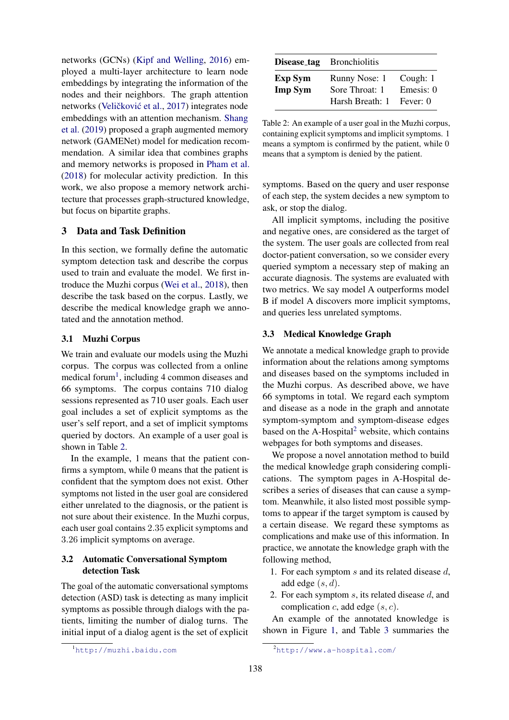networks (GCNs) [\(Kipf and Welling,](#page-8-19) [2016\)](#page-8-19) employed a multi-layer architecture to learn node embeddings by integrating the information of the nodes and their neighbors. The graph attention networks (Veličković et al., [2017\)](#page-8-20) integrates node embeddings with an attention mechanism. [Shang](#page-8-21) [et al.](#page-8-21) [\(2019\)](#page-8-21) proposed a graph augmented memory network (GAMENet) model for medication recommendation. A similar idea that combines graphs and memory networks is proposed in [Pham et al.](#page-8-22) [\(2018\)](#page-8-22) for molecular activity prediction. In this work, we also propose a memory network architecture that processes graph-structured knowledge, but focus on bipartite graphs.

# 3 Data and Task Definition

In this section, we formally define the automatic symptom detection task and describe the corpus used to train and evaluate the model. We first introduce the Muzhi corpus [\(Wei et al.,](#page-8-3) [2018\)](#page-8-3), then describe the task based on the corpus. Lastly, we describe the medical knowledge graph we annotated and the annotation method.

# 3.1 Muzhi Corpus

We train and evaluate our models using the Muzhi corpus. The corpus was collected from a online medical forum<sup>[1](#page-2-0)</sup>, including 4 common diseases and 66 symptoms. The corpus contains 710 dialog sessions represented as 710 user goals. Each user goal includes a set of explicit symptoms as the user's self report, and a set of implicit symptoms queried by doctors. An example of a user goal is shown in Table [2.](#page-2-1)

In the example, 1 means that the patient confirms a symptom, while 0 means that the patient is confident that the symptom does not exist. Other symptoms not listed in the user goal are considered either unrelated to the diagnosis, or the patient is not sure about their existence. In the Muzhi corpus, each user goal contains 2.35 explicit symptoms and 3.26 implicit symptoms on average.

# 3.2 Automatic Conversational Symptom detection Task

The goal of the automatic conversational symptoms detection (ASD) task is detecting as many implicit symptoms as possible through dialogs with the patients, limiting the number of dialog turns. The initial input of a dialog agent is the set of explicit

<span id="page-2-1"></span>

|                                  | <b>Disease_tag</b> Bronchiolitis                   |                                   |  |
|----------------------------------|----------------------------------------------------|-----------------------------------|--|
| <b>Exp Sym</b><br><b>Imp Sym</b> | Runny Nose: 1<br>Sore Throat: 1<br>Harsh Breath: 1 | Cough: 1<br>Emesis: 0<br>Fever: 0 |  |

Table 2: An example of a user goal in the Muzhi corpus, containing explicit symptoms and implicit symptoms. 1 means a symptom is confirmed by the patient, while 0 means that a symptom is denied by the patient.

symptoms. Based on the query and user response of each step, the system decides a new symptom to ask, or stop the dialog.

All implicit symptoms, including the positive and negative ones, are considered as the target of the system. The user goals are collected from real doctor-patient conversation, so we consider every queried symptom a necessary step of making an accurate diagnosis. The systems are evaluated with two metrics. We say model A outperforms model B if model A discovers more implicit symptoms, and queries less unrelated symptoms.

# 3.3 Medical Knowledge Graph

We annotate a medical knowledge graph to provide information about the relations among symptoms and diseases based on the symptoms included in the Muzhi corpus. As described above, we have 66 symptoms in total. We regard each symptom and disease as a node in the graph and annotate symptom-symptom and symptom-disease edges based on the  $A$ -Hospital<sup>[2](#page-2-2)</sup> website, which contains webpages for both symptoms and diseases.

We propose a novel annotation method to build the medical knowledge graph considering complications. The symptom pages in A-Hospital describes a series of diseases that can cause a symptom. Meanwhile, it also listed most possible symptoms to appear if the target symptom is caused by a certain disease. We regard these symptoms as complications and make use of this information. In practice, we annotate the knowledge graph with the following method,

- 1. For each symptom s and its related disease d, add edge  $(s, d)$ .
- 2. For each symptom  $s$ , its related disease  $d$ , and complication c, add edge  $(s, c)$ .

An example of the annotated knowledge is shown in Figure [1,](#page-3-0) and Table [3](#page-3-1) summaries the

<span id="page-2-0"></span><sup>1</sup><http://muzhi.baidu.com>

<span id="page-2-2"></span><sup>2</sup><http://www.a-hospital.com/>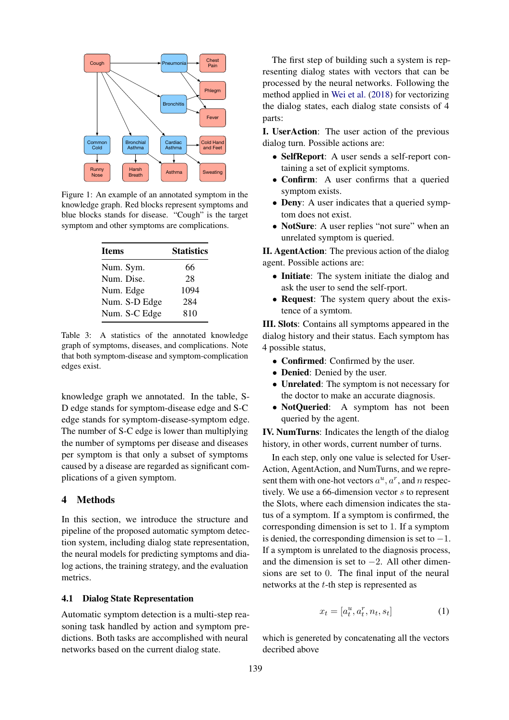<span id="page-3-0"></span>

Figure 1: An example of an annotated symptom in the knowledge graph. Red blocks represent symptoms and blue blocks stands for disease. "Cough" is the target symptom and other symptoms are complications.

<span id="page-3-1"></span>

| <b>Items</b>  | <b>Statistics</b> |  |
|---------------|-------------------|--|
| Num. Sym.     | 66                |  |
| Num. Dise.    | 28                |  |
| Num. Edge     | 1094              |  |
| Num. S-D Edge | 284               |  |
| Num. S-C Edge | 810               |  |

Table 3: A statistics of the annotated knowledge graph of symptoms, diseases, and complications. Note that both symptom-disease and symptom-complication edges exist.

knowledge graph we annotated. In the table, S-D edge stands for symptom-disease edge and S-C edge stands for symptom-disease-symptom edge. The number of S-C edge is lower than multiplying the number of symptoms per disease and diseases per symptom is that only a subset of symptoms caused by a disease are regarded as significant complications of a given symptom.

# 4 Methods

In this section, we introduce the structure and pipeline of the proposed automatic symptom detection system, including dialog state representation, the neural models for predicting symptoms and dialog actions, the training strategy, and the evaluation metrics.

## 4.1 Dialog State Representation

Automatic symptom detection is a multi-step reasoning task handled by action and symptom predictions. Both tasks are accomplished with neural networks based on the current dialog state.

The first step of building such a system is representing dialog states with vectors that can be processed by the neural networks. Following the method applied in [Wei et al.](#page-8-3) [\(2018\)](#page-8-3) for vectorizing the dialog states, each dialog state consists of 4 parts:

I. UserAction: The user action of the previous dialog turn. Possible actions are:

- SelfReport: A user sends a self-report containing a set of explicit symptoms.
- Confirm: A user confirms that a queried symptom exists.
- Deny: A user indicates that a queried symptom does not exist.
- NotSure: A user replies "not sure" when an unrelated symptom is queried.

II. AgentAction: The previous action of the dialog agent. Possible actions are:

- Initiate: The system initiate the dialog and ask the user to send the self-rport.
- Request: The system query about the existence of a symtom.

III. Slots: Contains all symptoms appeared in the dialog history and their status. Each symptom has 4 possible status,

- Confirmed: Confirmed by the user.
- Denied: Denied by the user.
- Unrelated: The symptom is not necessary for the doctor to make an accurate diagnosis.
- NotOueried: A symptom has not been queried by the agent.

IV. NumTurns: Indicates the length of the dialog history, in other words, current number of turns.

In each step, only one value is selected for User-Action, AgentAction, and NumTurns, and we represent them with one-hot vectors  $a^u$ ,  $a^r$ , and n respectively. We use a 66-dimension vector s to represent the Slots, where each dimension indicates the status of a symptom. If a symptom is confirmed, the corresponding dimension is set to 1. If a symptom is denied, the corresponding dimension is set to  $-1$ . If a symptom is unrelated to the diagnosis process, and the dimension is set to  $-2$ . All other dimensions are set to 0. The final input of the neural networks at the t-th step is represented as

$$
x_t = [a_t^u, a_t^r, n_t, s_t]
$$
 (1)

which is genereted by concatenating all the vectors decribed above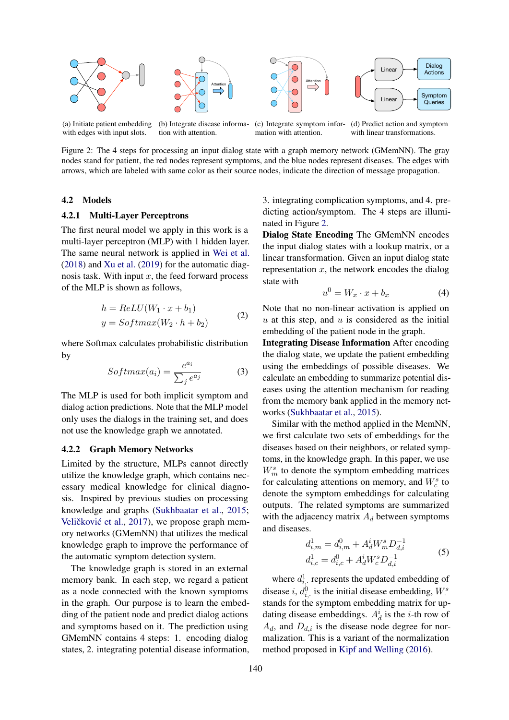<span id="page-4-0"></span>

(a) Initiate patient embedding with edges with input slots. (b) Integrate disease information with attention. (c) Integrate symptom information with attention. (d) Predict action and symptom with linear transformations.

Figure 2: The 4 steps for processing an input dialog state with a graph memory network (GMemNN). The gray nodes stand for patient, the red nodes represent symptoms, and the blue nodes represent diseases. The edges with arrows, which are labeled with same color as their source nodes, indicate the direction of message propagation.

## 4.2 Models

#### 4.2.1 Multi-Layer Perceptrons

The first neural model we apply in this work is a multi-layer perceptron (MLP) with 1 hidden layer. The same neural network is applied in [Wei et al.](#page-8-3) [\(2018\)](#page-8-3) and [Xu et al.](#page-9-0) [\(2019\)](#page-9-0) for the automatic diagnosis task. With input  $x$ , the feed forward process of the MLP is shown as follows,

$$
h = ReLU(W_1 \cdot x + b_1)
$$
  

$$
y = Softmax(W_2 \cdot h + b_2)
$$
 (2)

where Softmax calculates probabilistic distribution by

$$
Softmax(a_i) = \frac{e^{a_i}}{\sum_j e^{a_j}} \tag{3}
$$

The MLP is used for both implicit symptom and dialog action predictions. Note that the MLP model only uses the dialogs in the training set, and does not use the knowledge graph we annotated.

## 4.2.2 Graph Memory Networks

Limited by the structure, MLPs cannot directly utilize the knowledge graph, which contains necessary medical knowledge for clinical diagnosis. Inspired by previous studies on processing knowledge and graphs [\(Sukhbaatar et al.,](#page-8-12) [2015;](#page-8-12) Veličković et al., [2017\)](#page-8-20), we propose graph memory networks (GMemNN) that utilizes the medical knowledge graph to improve the performance of the automatic symptom detection system.

The knowledge graph is stored in an external memory bank. In each step, we regard a patient as a node connected with the known symptoms in the graph. Our purpose is to learn the embedding of the patient node and predict dialog actions and symptoms based on it. The prediction using GMemNN contains 4 steps: 1. encoding dialog states, 2. integrating potential disease information, 3. integrating complication symptoms, and 4. predicting action/symptom. The 4 steps are illuminated in Figure [2.](#page-4-0)

Dialog State Encoding The GMemNN encodes the input dialog states with a lookup matrix, or a linear transformation. Given an input dialog state representation  $x$ , the network encodes the dialog state with

$$
u^0 = W_x \cdot x + b_x \tag{4}
$$

Note that no non-linear activation is applied on  $u$  at this step, and  $u$  is considered as the initial embedding of the patient node in the graph.

Integrating Disease Information After encoding the dialog state, we update the patient embedding using the embeddings of possible diseases. We calculate an embedding to summarize potential diseases using the attention mechanism for reading from the memory bank applied in the memory networks [\(Sukhbaatar et al.,](#page-8-12) [2015\)](#page-8-12).

Similar with the method applied in the MemNN, we first calculate two sets of embeddings for the diseases based on their neighbors, or related symptoms, in the knowledge graph. In this paper, we use  $W_m^s$  to denote the symptom embedding matrices for calculating attentions on memory, and  $W_c^s$  to denote the symptom embeddings for calculating outputs. The related symptoms are summarized with the adjacency matrix  $A_d$  between symptoms and diseases.

$$
d_{i,m}^1 = d_{i,m}^0 + A_d^i W_m^s D_{d,i}^{-1}
$$
  
\n
$$
d_{i,c}^1 = d_{i,c}^0 + A_d^i W_c^s D_{d,i}^{-1}
$$
\n(5)

where  $d_{i,:}^1$  represents the updated embedding of disease *i*,  $d_{i}^{0}$ , is the initial disease embedding,  $W_{i}^{s}$ stands for the symptom embedding matrix for updating disease embeddings.  $A_d^i$  is the *i*-th row of  $A_d$ , and  $D_{d,i}$  is the disease node degree for normalization. This is a variant of the normalization method proposed in [Kipf and Welling](#page-8-19) [\(2016\)](#page-8-19).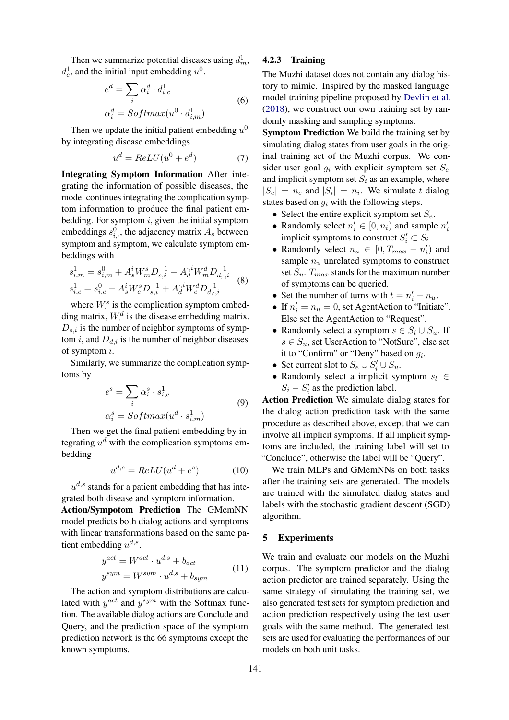Then we summarize potential diseases using  $d_m^1$ ,  $d_c^1$ , and the initial input embedding  $u^0$ .

$$
e^{d} = \sum_{i} \alpha_i^d \cdot d_{i,c}^1
$$
  
\n
$$
\alpha_i^d = Softmax(u^0 \cdot d_{i,m}^1)
$$
\n(6)

Then we update the initial patient embedding  $u^0$ by integrating disease embeddings.

$$
u^d = ReLU(u^0 + e^d) \tag{7}
$$

Integrating Symptom Information After integrating the information of possible diseases, the model continues integrating the complication symptom information to produce the final patient embedding. For symptom  $i$ , given the initial symptom embeddings  $s_{i,\cdot}^0$ , the adjacency matrix  $A_s$  between symptom and symptom, we calculate symptom embeddings with

$$
s_{i,m}^1 = s_{i,m}^0 + A_s^i W_m^s D_{s,i}^{-1} + A_d^{i,i} W_m^d D_{d,\cdot,i}^{-1}
$$
  

$$
s_{i,c}^1 = s_{i,c}^0 + A_s^i W_c^s D_{s,i}^{-1} + A_d^{i,i} W_c^d D_{d,\cdot,i}^{-1}
$$
 (8)

where  $W^s$  is the complication symptom embedding matrix,  $W^d$  is the disease embedding matrix.  $D_{s,i}$  is the number of neighbor symptoms of symptom  $i$ , and  $D_{d,i}$  is the number of neighbor diseases of symptom i.

Similarly, we summarize the complication symptoms by

$$
e^{s} = \sum_{i} \alpha_{i}^{s} \cdot s_{i,c}^{1}
$$
  
\n
$$
\alpha_{i}^{s} = Softmax(u^{d} \cdot s_{i,m}^{1})
$$
\n(9)

Then we get the final patient embedding by integrating  $u^d$  with the complication symptoms embedding

$$
u^{d,s} = ReLU(u^d + e^s)
$$
 (10)

 $u^{d,s}$  stands for a patient embedding that has integrated both disease and symptom information.

Action/Sympotom Prediction The GMemNN model predicts both dialog actions and symptoms with linear transformations based on the same patient embedding  $u^{d,s}$ .

$$
y^{act} = W^{act} \cdot u^{d,s} + b_{act}
$$
  

$$
y^{sym} = W^{sym} \cdot u^{d,s} + b_{sym}
$$
 (11)

The action and symptom distributions are calculated with  $y^{act}$  and  $y^{sym}$  with the Softmax function. The available dialog actions are Conclude and Query, and the prediction space of the symptom prediction network is the 66 symptoms except the known symptoms.

# 4.2.3 Training

The Muzhi dataset does not contain any dialog history to mimic. Inspired by the masked language model training pipeline proposed by [Devlin et al.](#page-8-4) [\(2018\)](#page-8-4), we construct our own training set by randomly masking and sampling symptoms.

Symptom Prediction We build the training set by simulating dialog states from user goals in the original training set of the Muzhi corpus. We consider user goal  $q_i$  with explicit symptom set  $S_e$ and implicit symptom set  $S_i$  as an example, where  $|S_e| = n_e$  and  $|S_i| = n_i$ . We simulate t dialog states based on  $q_i$  with the following steps.

- Select the entire explicit symptom set  $S_e$ .
- Randomly select  $n'_i \in [0, n_i)$  and sample  $n'_i$ implicit symptoms to construct  $S_i' \subset S_i$
- Randomly select  $n_u \in [0, T_{max} n'_i)$  and sample  $n_u$  unrelated symptoms to construct set  $S_u$ .  $T_{max}$  stands for the maximum number of symptoms can be queried.
- Set the number of turns with  $t = n'_i + n_u$ .
- If  $n'_i = n_u = 0$ , set AgentAction to "Initiate". Else set the AgentAction to "Request".
- Randomly select a symptom  $s \in S_i \cup S_u$ . If  $s \in S_u$ , set UserAction to "NotSure", else set it to "Confirm" or "Deny" based on  $g_i$ .
- Set current slot to  $S_e \cup S'_i \cup S_u$ .
- Randomly select a implicit symptom  $s_l \in$  $S_i - S'_i$  as the prediction label.

Action Prediction We simulate dialog states for the dialog action prediction task with the same procedure as described above, except that we can involve all implicit symptoms. If all implicit symptoms are included, the training label will set to "Conclude", otherwise the label will be "Query".

We train MLPs and GMemNNs on both tasks after the training sets are generated. The models are trained with the simulated dialog states and labels with the stochastic gradient descent (SGD) algorithm.

#### 5 Experiments

We train and evaluate our models on the Muzhi corpus. The symptom predictor and the dialog action predictor are trained separately. Using the same strategy of simulating the training set, we also generated test sets for symptom prediction and action prediction respectively using the test user goals with the same method. The generated test sets are used for evaluating the performances of our models on both unit tasks.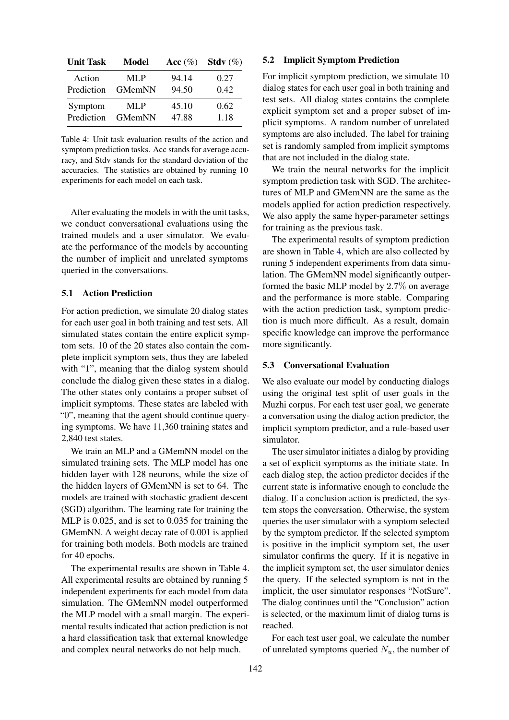<span id="page-6-0"></span>

| <b>Unit Task</b> | Model  | Acc $(\%)$ | Stdy $(\%)$ |
|------------------|--------|------------|-------------|
| Action           | MLP    | 94.14      | 0.27        |
| Prediction       | GMemNN | 94.50      | 0.42        |
| Symptom          | MLP    | 45.10      | 0.62        |
| Prediction       | GMemNN | 47.88      | 1.18        |

Table 4: Unit task evaluation results of the action and symptom prediction tasks. Acc stands for average accuracy, and Stdv stands for the standard deviation of the accuracies. The statistics are obtained by running 10 experiments for each model on each task.

After evaluating the models in with the unit tasks, we conduct conversational evaluations using the trained models and a user simulator. We evaluate the performance of the models by accounting the number of implicit and unrelated symptoms queried in the conversations.

# 5.1 Action Prediction

For action prediction, we simulate 20 dialog states for each user goal in both training and test sets. All simulated states contain the entire explicit symptom sets. 10 of the 20 states also contain the complete implicit symptom sets, thus they are labeled with "1", meaning that the dialog system should conclude the dialog given these states in a dialog. The other states only contains a proper subset of implicit symptoms. These states are labeled with "0", meaning that the agent should continue querying symptoms. We have 11,360 training states and 2,840 test states.

We train an MLP and a GMemNN model on the simulated training sets. The MLP model has one hidden layer with 128 neurons, while the size of the hidden layers of GMemNN is set to 64. The models are trained with stochastic gradient descent (SGD) algorithm. The learning rate for training the MLP is 0.025, and is set to 0.035 for training the GMemNN. A weight decay rate of 0.001 is applied for training both models. Both models are trained for 40 epochs.

The experimental results are shown in Table [4.](#page-6-0) All experimental results are obtained by running 5 independent experiments for each model from data simulation. The GMemNN model outperformed the MLP model with a small margin. The experimental results indicated that action prediction is not a hard classification task that external knowledge and complex neural networks do not help much.

#### 5.2 Implicit Symptom Prediction

For implicit symptom prediction, we simulate 10 dialog states for each user goal in both training and test sets. All dialog states contains the complete explicit symptom set and a proper subset of implicit symptoms. A random number of unrelated symptoms are also included. The label for training set is randomly sampled from implicit symptoms that are not included in the dialog state.

We train the neural networks for the implicit symptom prediction task with SGD. The architectures of MLP and GMemNN are the same as the models applied for action prediction respectively. We also apply the same hyper-parameter settings for training as the previous task.

The experimental results of symptom prediction are shown in Table [4,](#page-6-0) which are also collected by runing 5 independent experiments from data simulation. The GMemNN model significantly outperformed the basic MLP model by 2.7% on average and the performance is more stable. Comparing with the action prediction task, symptom prediction is much more difficult. As a result, domain specific knowledge can improve the performance more significantly.

#### 5.3 Conversational Evaluation

We also evaluate our model by conducting dialogs using the original test split of user goals in the Muzhi corpus. For each test user goal, we generate a conversation using the dialog action predictor, the implicit symptom predictor, and a rule-based user simulator.

The user simulator initiates a dialog by providing a set of explicit symptoms as the initiate state. In each dialog step, the action predictor decides if the current state is informative enough to conclude the dialog. If a conclusion action is predicted, the system stops the conversation. Otherwise, the system queries the user simulator with a symptom selected by the symptom predictor. If the selected symptom is positive in the implicit symptom set, the user simulator confirms the query. If it is negative in the implicit symptom set, the user simulator denies the query. If the selected symptom is not in the implicit, the user simulator responses "NotSure". The dialog continues until the "Conclusion" action is selected, or the maximum limit of dialog turns is reached.

For each test user goal, we calculate the number of unrelated symptoms queried  $N_u$ , the number of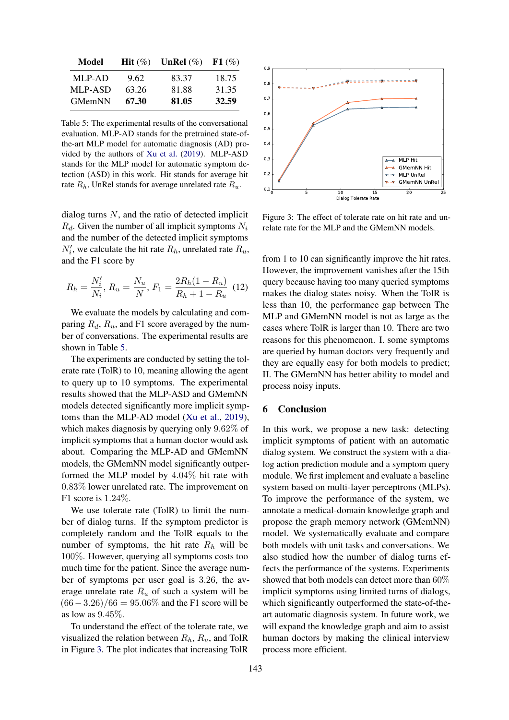<span id="page-7-0"></span>

| Model          | <b>Hit</b> $(\%)$ | UnRel $(\%)$ | F1(%) |
|----------------|-------------------|--------------|-------|
| MLP-AD         | 9.62              | 83.37        | 18.75 |
| <b>MLP-ASD</b> | 63.26             | 81.88        | 31.35 |
| <b>GMemNN</b>  | 67.30             | 81.05        | 32.59 |

Table 5: The experimental results of the conversational evaluation. MLP-AD stands for the pretrained state-ofthe-art MLP model for automatic diagnosis (AD) provided by the authors of [Xu et al.](#page-9-0) [\(2019\)](#page-9-0). MLP-ASD stands for the MLP model for automatic symptom detection (ASD) in this work. Hit stands for average hit rate  $R_h$ , UnRel stands for average unrelated rate  $R_u$ .

dialog turns N, and the ratio of detected implicit  $R_d$ . Given the number of all implicit symptoms  $N_i$ and the number of the detected implicit symptoms  $N_i'$ , we calculate the hit rate  $R_h$ , unrelated rate  $R_u$ , and the F1 score by

$$
R_h = \frac{N_i'}{N_i}, R_u = \frac{N_u}{N}, F_1 = \frac{2R_h(1 - R_u)}{R_h + 1 - R_u}
$$
(12)

We evaluate the models by calculating and comparing  $R_d$ ,  $R_u$ , and F1 score averaged by the number of conversations. The experimental results are shown in Table [5.](#page-7-0)

The experiments are conducted by setting the tolerate rate (TolR) to 10, meaning allowing the agent to query up to 10 symptoms. The experimental results showed that the MLP-ASD and GMemNN models detected significantly more implicit symptoms than the MLP-AD model [\(Xu et al.,](#page-9-0) [2019\)](#page-9-0), which makes diagnosis by querying only 9.62% of implicit symptoms that a human doctor would ask about. Comparing the MLP-AD and GMemNN models, the GMemNN model significantly outperformed the MLP model by 4.04% hit rate with 0.83% lower unrelated rate. The improvement on F1 score is 1.24%.

We use tolerate rate (TolR) to limit the number of dialog turns. If the symptom predictor is completely random and the TolR equals to the number of symptoms, the hit rate  $R_h$  will be 100%. However, querying all symptoms costs too much time for the patient. Since the average number of symptoms per user goal is 3.26, the average unrelate rate  $R_u$  of such a system will be  $(66-3.26)/66 = 95.06\%$  and the F1 score will be as low as 9.45%.

To understand the effect of the tolerate rate, we visualized the relation between  $R_h$ ,  $R_u$ , and TolR in Figure [3.](#page-7-1) The plot indicates that increasing TolR

<span id="page-7-1"></span>

Figure 3: The effect of tolerate rate on hit rate and unrelate rate for the MLP and the GMemNN models.

from 1 to 10 can significantly improve the hit rates. However, the improvement vanishes after the 15th query because having too many queried symptoms makes the dialog states noisy. When the TolR is less than 10, the performance gap between The MLP and GMemNN model is not as large as the cases where TolR is larger than 10. There are two reasons for this phenomenon. I. some symptoms are queried by human doctors very frequently and they are equally easy for both models to predict; II. The GMemNN has better ability to model and process noisy inputs.

## 6 Conclusion

In this work, we propose a new task: detecting implicit symptoms of patient with an automatic dialog system. We construct the system with a dialog action prediction module and a symptom query module. We first implement and evaluate a baseline system based on multi-layer perceptrons (MLPs). To improve the performance of the system, we annotate a medical-domain knowledge graph and propose the graph memory network (GMemNN) model. We systematically evaluate and compare both models with unit tasks and conversations. We also studied how the number of dialog turns effects the performance of the systems. Experiments showed that both models can detect more than 60% implicit symptoms using limited turns of dialogs, which significantly outperformed the state-of-theart automatic diagnosis system. In future work, we will expand the knowledge graph and aim to assist human doctors by making the clinical interview process more efficient.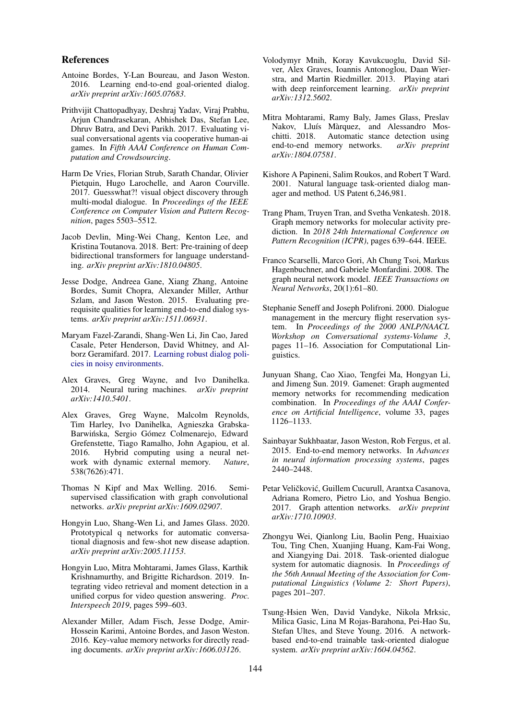#### References

- <span id="page-8-1"></span>Antoine Bordes, Y-Lan Boureau, and Jason Weston. 2016. Learning end-to-end goal-oriented dialog. *arXiv preprint arXiv:1605.07683*.
- <span id="page-8-9"></span>Prithvijit Chattopadhyay, Deshraj Yadav, Viraj Prabhu, Arjun Chandrasekaran, Abhishek Das, Stefan Lee, Dhruv Batra, and Devi Parikh. 2017. Evaluating visual conversational agents via cooperative human-ai games. In *Fifth AAAI Conference on Human Computation and Crowdsourcing*.
- <span id="page-8-11"></span>Harm De Vries, Florian Strub, Sarath Chandar, Olivier Pietquin, Hugo Larochelle, and Aaron Courville. 2017. Guesswhat?! visual object discovery through multi-modal dialogue. In *Proceedings of the IEEE Conference on Computer Vision and Pattern Recognition*, pages 5503–5512.
- <span id="page-8-4"></span>Jacob Devlin, Ming-Wei Chang, Kenton Lee, and Kristina Toutanova. 2018. Bert: Pre-training of deep bidirectional transformers for language understanding. *arXiv preprint arXiv:1810.04805*.
- <span id="page-8-7"></span>Jesse Dodge, Andreea Gane, Xiang Zhang, Antoine Bordes, Sumit Chopra, Alexander Miller, Arthur Szlam, and Jason Weston. 2015. Evaluating prerequisite qualities for learning end-to-end dialog systems. *arXiv preprint arXiv:1511.06931*.
- <span id="page-8-8"></span>Maryam Fazel-Zarandi, Shang-Wen Li, Jin Cao, Jared Casale, Peter Henderson, David Whitney, and Alborz Geramifard. 2017. [Learning robust dialog poli](http://arxiv.org/abs/1712.04034)[cies in noisy environments.](http://arxiv.org/abs/1712.04034)
- <span id="page-8-16"></span>Alex Graves, Greg Wayne, and Ivo Danihelka. 2014. Neural turing machines. *arXiv preprint arXiv:1410.5401*.
- <span id="page-8-17"></span>Alex Graves, Greg Wayne, Malcolm Reynolds, Tim Harley, Ivo Danihelka, Agnieszka Grabska-Barwińska, Sergio Gómez Colmenarejo, Edward Grefenstette, Tiago Ramalho, John Agapiou, et al. 2016. Hybrid computing using a neural network with dynamic external memory. *Nature*, 538(7626):471.
- <span id="page-8-19"></span>Thomas N Kipf and Max Welling. 2016. Semisupervised classification with graph convolutional networks. *arXiv preprint arXiv:1609.02907*.
- <span id="page-8-10"></span>Hongyin Luo, Shang-Wen Li, and James Glass. 2020. Prototypical q networks for automatic conversational diagnosis and few-shot new disease adaption. *arXiv preprint arXiv:2005.11153*.
- <span id="page-8-14"></span>Hongyin Luo, Mitra Mohtarami, James Glass, Karthik Krishnamurthy, and Brigitte Richardson. 2019. Integrating video retrieval and moment detection in a unified corpus for video question answering. *Proc. Interspeech 2019*, pages 599–603.
- <span id="page-8-13"></span>Alexander Miller, Adam Fisch, Jesse Dodge, Amir-Hossein Karimi, Antoine Bordes, and Jason Weston. 2016. Key-value memory networks for directly reading documents. *arXiv preprint arXiv:1606.03126*.
- <span id="page-8-0"></span>Volodymyr Mnih, Koray Kavukcuoglu, David Silver, Alex Graves, Ioannis Antonoglou, Daan Wierstra, and Martin Riedmiller. 2013. Playing atari with deep reinforcement learning. *arXiv preprint arXiv:1312.5602*.
- <span id="page-8-15"></span>Mitra Mohtarami, Ramy Baly, James Glass, Preslav Nakov, Lluís Màrquez, and Alessandro Moschitti. 2018. Automatic stance detection using end-to-end memory networks. *arXiv preprint arXiv:1804.07581*.
- <span id="page-8-5"></span>Kishore A Papineni, Salim Roukos, and Robert T Ward. 2001. Natural language task-oriented dialog manager and method. US Patent 6,246,981.
- <span id="page-8-22"></span>Trang Pham, Truyen Tran, and Svetha Venkatesh. 2018. Graph memory networks for molecular activity prediction. In *2018 24th International Conference on Pattern Recognition (ICPR)*, pages 639–644. IEEE.
- <span id="page-8-18"></span>Franco Scarselli, Marco Gori, Ah Chung Tsoi, Markus Hagenbuchner, and Gabriele Monfardini. 2008. The graph neural network model. *IEEE Transactions on Neural Networks*, 20(1):61–80.
- <span id="page-8-6"></span>Stephanie Seneff and Joseph Polifroni. 2000. Dialogue management in the mercury flight reservation system. In *Proceedings of the 2000 ANLP/NAACL Workshop on Conversational systems-Volume 3*, pages 11–16. Association for Computational Linguistics.
- <span id="page-8-21"></span>Junyuan Shang, Cao Xiao, Tengfei Ma, Hongyan Li, and Jimeng Sun. 2019. Gamenet: Graph augmented memory networks for recommending medication combination. In *Proceedings of the AAAI Conference on Artificial Intelligence*, volume 33, pages 1126–1133.
- <span id="page-8-12"></span>Sainbayar Sukhbaatar, Jason Weston, Rob Fergus, et al. 2015. End-to-end memory networks. In *Advances in neural information processing systems*, pages 2440–2448.
- <span id="page-8-20"></span>Petar Veličković, Guillem Cucurull, Arantxa Casanova, Adriana Romero, Pietro Lio, and Yoshua Bengio. 2017. Graph attention networks. *arXiv preprint arXiv:1710.10903*.
- <span id="page-8-3"></span>Zhongyu Wei, Qianlong Liu, Baolin Peng, Huaixiao Tou, Ting Chen, Xuanjing Huang, Kam-Fai Wong, and Xiangying Dai. 2018. Task-oriented dialogue system for automatic diagnosis. In *Proceedings of the 56th Annual Meeting of the Association for Computational Linguistics (Volume 2: Short Papers)*, pages 201–207.
- <span id="page-8-2"></span>Tsung-Hsien Wen, David Vandyke, Nikola Mrksic, Milica Gasic, Lina M Rojas-Barahona, Pei-Hao Su, Stefan Ultes, and Steve Young. 2016. A networkbased end-to-end trainable task-oriented dialogue system. *arXiv preprint arXiv:1604.04562*.